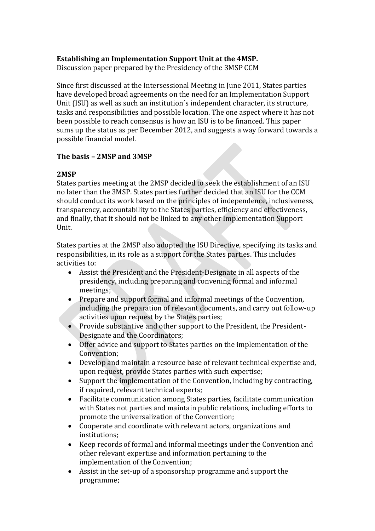# **Establishing an Implementation Support Unit at the 4MSP.**

Discussion paper prepared by the Presidency of the 3MSP CCM

Since first discussed at the Intersessional Meeting in June 2011, States parties have developed broad agreements on the need for an Implementation Support Unit (ISU) as well as such an institution´s independent character, its structure, tasks and responsibilities and possible location. The one aspect where it has not been possible to reach consensus is how an ISU is to be financed. This paper sums up the status as per December 2012, and suggests a way forward towards a possible financial model.

# **The basis – 2MSP and 3MSP**

# **2MSP**

States parties meeting at the 2MSP decided to seek the establishment of an ISU no later than the 3MSP. States parties further decided that an ISU for the CCM should conduct its work based on the principles of independence, inclusiveness, transparency, accountability to the States parties, efficiency and effectiveness, and finally, that it should not be linked to any other Implementation Support Unit.

States parties at the 2MSP also adopted the ISU Directive, specifying its tasks and responsibilities, in its role as a support for the States parties. This includes activities to:

- Assist the President and the President-Designate in all aspects of the presidency, including preparing and convening formal and informal meetings;
- Prepare and support formal and informal meetings of the Convention, including the preparation of relevant documents, and carry out follow-up activities upon request by the States parties;
- Provide substantive and other support to the President, the President-Designate and the Coordinators;
- Offer advice and support to States parties on the implementation of the Convention;
- Develop and maintain a resource base of relevant technical expertise and, upon request, provide States parties with such expertise;
- Support the implementation of the Convention, including by contracting, if required, relevant technical experts;
- Facilitate communication among States parties, facilitate communication with States not parties and maintain public relations, including efforts to promote the universalization of the Convention;
- Cooperate and coordinate with relevant actors, organizations and institutions;
- Keep records of formal and informal meetings under the Convention and other relevant expertise and information pertaining to the implementation of the Convention;
- Assist in the set-up of a sponsorship programme and support the programme;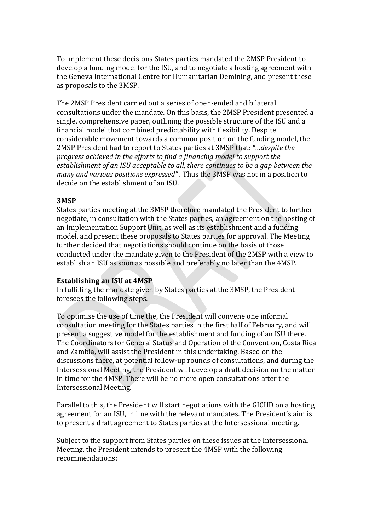To implement these decisions States parties mandated the 2MSP President to develop a funding model for the ISU, and to negotiate a hosting agreement with the Geneva International Centre for Humanitarian Demining, and present these as proposals to the 3MSP.

The 2MSP President carried out a series of open-ended and bilateral consultations under the mandate. On this basis, the 2MSP President presented a single, comprehensive paper, outlining the possible structure of the ISU and a financial model that combined predictability with flexibility. Despite considerable movement towards a common position on the funding model, the 2MSP President had to report to States parties at 3MSP that: *"…despite the progress achieved in the efforts to find a financing model to support the establishment of an ISU acceptable to all, there continues to be a gap between the many and various positions expressed" .* Thus the 3MSP was not in a position to decide on the establishment of an ISU.

#### **3MSP**

States parties meeting at the 3MSP therefore mandated the President to further negotiate, in consultation with the States parties, an agreement on the hosting of an Implementation Support Unit, as well as its establishment and a funding model, and present these proposals to States parties for approval. The Meeting further decided that negotiations should continue on the basis of those conducted under the mandate given to the President of the 2MSP with a view to establish an ISU as soon as possible and preferably no later than the 4MSP.

#### **Establishing an ISU at 4MSP**

In fulfilling the mandate given by States parties at the 3MSP, the President foresees the following steps.

To optimise the use of time the, the President will convene one informal consultation meeting for the States parties in the first half of February, and will present a suggestive model for the establishment and funding of an ISU there. The Coordinators for General Status and Operation of the Convention, Costa Rica and Zambia, will assist the President in this undertaking. Based on the discussions there, at potential follow-up rounds of consultations, and during the Intersessional Meeting, the President will develop a draft decision on the matter in time for the 4MSP. There will be no more open consultations after the Intersessional Meeting.

Parallel to this, the President will start negotiations with the GICHD on a hosting agreement for an ISU, in line with the relevant mandates. The President's aim is to present a draft agreement to States parties at the Intersessional meeting.

Subject to the support from States parties on these issues at the Intersessional Meeting, the President intends to present the 4MSP with the following recommendations: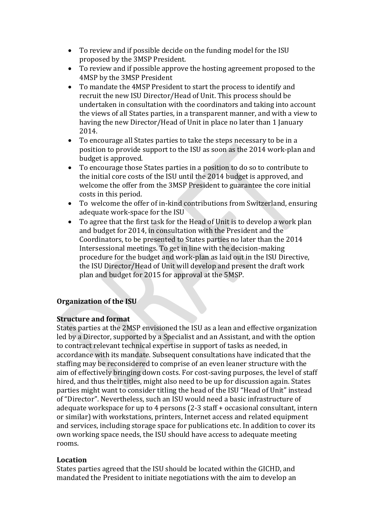- To review and if possible decide on the funding model for the ISU proposed by the 3MSP President.
- To review and if possible approve the hosting agreement proposed to the 4MSP by the 3MSP President
- To mandate the 4MSP President to start the process to identify and recruit the new ISU Director/Head of Unit. This process should be undertaken in consultation with the coordinators and taking into account the views of all States parties, in a transparent manner, and with a view to having the new Director/Head of Unit in place no later than 1 January 2014.
- To encourage all States parties to take the steps necessary to be in a position to provide support to the ISU as soon as the 2014 work-plan and budget is approved.
- To encourage those States parties in a position to do so to contribute to the initial core costs of the ISU until the 2014 budget is approved, and welcome the offer from the 3MSP President to guarantee the core initial costs in this period.
- To welcome the offer of in-kind contributions from Switzerland, ensuring adequate work-space for the ISU
- To agree that the first task for the Head of Unit is to develop a work plan and budget for 2014, in consultation with the President and the Coordinators, to be presented to States parties no later than the 2014 Intersessional meetings. To get in line with the decision-making procedure for the budget and work-plan as laid out in the ISU Directive, the ISU Director/Head of Unit will develop and present the draft work plan and budget for 2015 for approval at the 5MSP.

# **Organization of the ISU**

### **Structure and format**

States parties at the 2MSP envisioned the ISU as a lean and effective organization led by a Director, supported by a Specialist and an Assistant, and with the option to contract relevant technical expertise in support of tasks as needed, in accordance with its mandate. Subsequent consultations have indicated that the staffing may be reconsidered to comprise of an even leaner structure with the aim of effectively bringing down costs. For cost-saving purposes, the level of staff hired, and thus their titles, might also need to be up for discussion again. States parties might want to consider titling the head of the ISU "Head of Unit" instead of "Director". Nevertheless, such an ISU would need a basic infrastructure of adequate workspace for up to 4 persons (2-3 staff + occasional consultant, intern or similar) with workstations, printers, Internet access and related equipment and services, including storage space for publications etc. In addition to cover its own working space needs, the ISU should have access to adequate meeting rooms.

# **Location**

States parties agreed that the ISU should be located within the GICHD, and mandated the President to initiate negotiations with the aim to develop an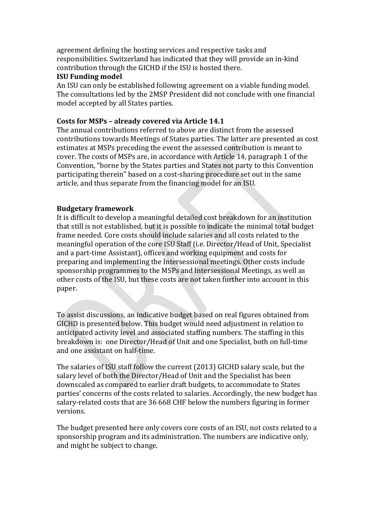agreement defining the hosting services and respective tasks and responsibilities. Switzerland has indicated that they will provide an in-kind contribution through the GICHD if the ISU is hosted there.

#### **ISU Funding model**

An ISU can only be established following agreement on a viable funding model. The consultations led by the 2MSP President did not conclude with one financial model accepted by all States parties.

### **Costs for MSPs – already covered via Article 14.1**

The annual contributions referred to above are distinct from the assessed contributions towards Meetings of States parties. The latter are presented as cost estimates at MSPs preceding the event the assessed contribution is meant to cover. The costs of MSPs are, in accordance with Article 14, paragraph 1 of the Convention, "borne by the States parties and States not party to this Convention participating therein" based on a cost-sharing procedure set out in the same article, and thus separate from the financing model for an ISU.

### **Budgetary framework**

It is difficult to develop a meaningful detailed cost breakdown for an institution that still is not established, but it is possible to indicate the minimal total budget frame needed. Core costs should include salaries and all costs related to the meaningful operation of the core ISU Staff (i.e. Director/Head of Unit, Specialist and a part-time Assistant), offices and working equipment and costs for preparing and implementing the Intersessional meetings. Other costs include sponsorship programmes to the MSPs and Intersessional Meetings, as well as other costs of the ISU, but these costs are not taken further into account in this paper.

To assist discussions, an indicative budget based on real figures obtained from GICHD is presented below. This budget would need adjustment in relation to anticipated activity level and associated staffing numbers. The staffing in this breakdown is: one Director/Head of Unit and one Specialist, both on full-time and one assistant on half-time.

The salaries of ISU staff follow the current (2013) GICHD salary scale, but the salary level of both the Director/Head of Unit and the Specialist has been downscaled as compared to earlier draft budgets, to accommodate to States parties' concerns of the costs related to salaries. Accordingly, the new budget has salary-related costs that are 36 668 CHF below the numbers figuring in former versions.

The budget presented here only covers core costs of an ISU, not costs related to a sponsorship program and its administration. The numbers are indicative only, and might be subject to change.